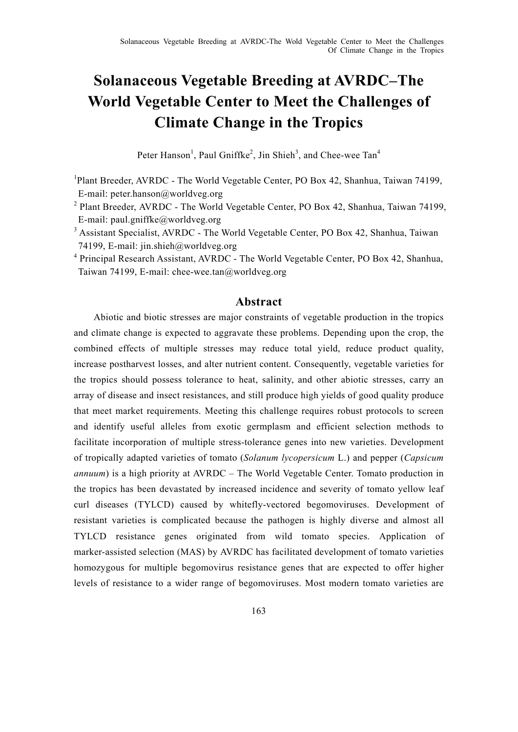# **Solanaceous Vegetable Breeding at AVRDC–The World Vegetable Center to Meet the Challenges of Climate Change in the Tropics**

Peter Hanson<sup>1</sup>, Paul Gniffke<sup>2</sup>, Jin Shieh<sup>3</sup>, and Chee-wee Tan<sup>4</sup>

<sup>1</sup>Plant Breeder, AVRDC - The World Vegetable Center, PO Box 42, Shanhua, Taiwan 74199, E-mail: peter.hanson@worldveg.org

<sup>2</sup> Plant Breeder, AVRDC - The World Vegetable Center, PO Box 42, Shanhua, Taiwan 74199, E-mail: paul.gniffke@worldveg.org

<sup>3</sup> Assistant Specialist, AVRDC - The World Vegetable Center, PO Box 42, Shanhua, Taiwan 74199, E-mail: jin.shieh@worldveg.org

<sup>4</sup> Principal Research Assistant, AVRDC - The World Vegetable Center, PO Box 42, Shanhua, Taiwan 74199, E-mail: chee-wee.tan@worldveg.org

# **Abstract**

Abiotic and biotic stresses are major constraints of vegetable production in the tropics and climate change is expected to aggravate these problems. Depending upon the crop, the combined effects of multiple stresses may reduce total yield, reduce product quality, increase postharvest losses, and alter nutrient content. Consequently, vegetable varieties for the tropics should possess tolerance to heat, salinity, and other abiotic stresses, carry an array of disease and insect resistances, and still produce high yields of good quality produce that meet market requirements. Meeting this challenge requires robust protocols to screen and identify useful alleles from exotic germplasm and efficient selection methods to facilitate incorporation of multiple stress-tolerance genes into new varieties. Development of tropically adapted varieties of tomato (*Solanum lycopersicum* L.) and pepper (*Capsicum annuum*) is a high priority at AVRDC – The World Vegetable Center. Tomato production in the tropics has been devastated by increased incidence and severity of tomato yellow leaf curl diseases (TYLCD) caused by whitefly-vectored begomoviruses. Development of resistant varieties is complicated because the pathogen is highly diverse and almost all TYLCD resistance genes originated from wild tomato species. Application of marker-assisted selection (MAS) by AVRDC has facilitated development of tomato varieties homozygous for multiple begomovirus resistance genes that are expected to offer higher levels of resistance to a wider range of begomoviruses. Most modern tomato varieties are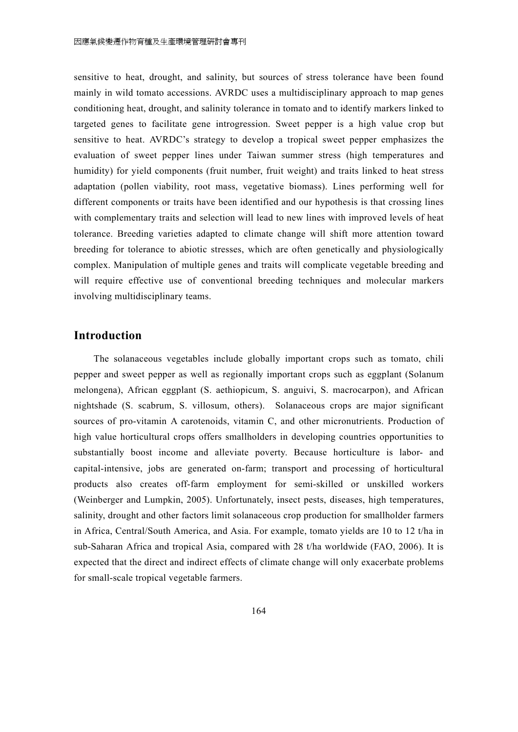sensitive to heat, drought, and salinity, but sources of stress tolerance have been found mainly in wild tomato accessions. AVRDC uses a multidisciplinary approach to map genes conditioning heat, drought, and salinity tolerance in tomato and to identify markers linked to targeted genes to facilitate gene introgression. Sweet pepper is a high value crop but sensitive to heat. AVRDC's strategy to develop a tropical sweet pepper emphasizes the evaluation of sweet pepper lines under Taiwan summer stress (high temperatures and humidity) for yield components (fruit number, fruit weight) and traits linked to heat stress adaptation (pollen viability, root mass, vegetative biomass). Lines performing well for different components or traits have been identified and our hypothesis is that crossing lines with complementary traits and selection will lead to new lines with improved levels of heat tolerance. Breeding varieties adapted to climate change will shift more attention toward breeding for tolerance to abiotic stresses, which are often genetically and physiologically complex. Manipulation of multiple genes and traits will complicate vegetable breeding and will require effective use of conventional breeding techniques and molecular markers involving multidisciplinary teams.

## **Introduction**

The solanaceous vegetables include globally important crops such as tomato, chili pepper and sweet pepper as well as regionally important crops such as eggplant (Solanum melongena), African eggplant (S. aethiopicum, S. anguivi, S. macrocarpon), and African nightshade (S. scabrum, S. villosum, others). Solanaceous crops are major significant sources of pro-vitamin A carotenoids, vitamin C, and other micronutrients. Production of high value horticultural crops offers smallholders in developing countries opportunities to substantially boost income and alleviate poverty. Because horticulture is labor- and capital-intensive, jobs are generated on-farm; transport and processing of horticultural products also creates off-farm employment for semi-skilled or unskilled workers (Weinberger and Lumpkin, 2005). Unfortunately, insect pests, diseases, high temperatures, salinity, drought and other factors limit solanaceous crop production for smallholder farmers in Africa, Central/South America, and Asia. For example, tomato yields are 10 to 12 t/ha in sub-Saharan Africa and tropical Asia, compared with 28 t/ha worldwide (FAO, 2006). It is expected that the direct and indirect effects of climate change will only exacerbate problems for small-scale tropical vegetable farmers.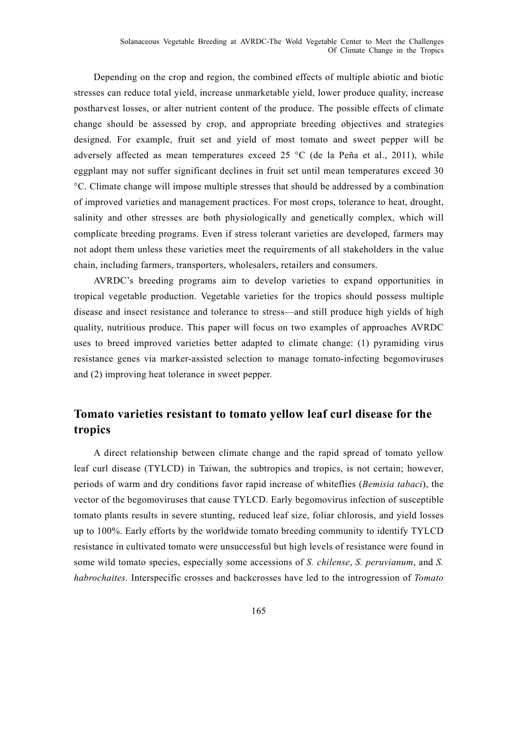Solanaceous Vegetable Breeding at AVRDC-The Wold Vegetable Center to Meet the Challenges Of Climate Change in the Tropics

Depending on the crop and region, the combined effects of multiple abiotic and biotic stresses can reduce total yield, increase unmarketable yield, lower produce quality, increase postharvest losses, or alter nutrient content of the produce. The possible effects of climate change should be assessed by crop, and appropriate breeding objectives and strategies designed. For example, fruit set and yield of most tomato and sweet pepper will be adversely affected as mean temperatures exceed 25  $^{\circ}$ C (de la Peña et al., 2011), while eggplant may not suffer significant declines in fruit set until mean temperatures exceed 30 °C. Climate change will impose multiple stresses that should be addressed by a combination of improved varieties and management practices. For most crops, tolerance to heat, drought, salinity and other stresses are both physiologically and genetically complex, which will complicate breeding programs. Even if stress tolerant varieties are developed, farmers may not adopt them unless these varieties meet the requirements of all stakeholders in the value chain, including farmers, transporters, wholesalers, retailers and consumers.

AVRDC's breeding programs aim to develop varieties to expand opportunities in tropical vegetable production. Vegetable varieties for the tropics should possess multiple disease and insect resistance and tolerance to stress—and still produce high yields of high quality, nutritious produce. This paper will focus on two examples of approaches AVRDC uses to breed improved varieties better adapted to climate change: (1) pyramiding virus resistance genes via marker-assisted selection to manage tomato-infecting begomoviruses and (2) improving heat tolerance in sweet pepper.

# **Tomato varieties resistant to tomato yellow leaf curl disease for the tropics**

A direct relationship between climate change and the rapid spread of tomato yellow leaf curl disease (TYLCD) in Taiwan, the subtropics and tropics, is not certain; however, periods of warm and dry conditions favor rapid increase of whiteflies (*Bemisia tabaci*), the vector of the begomoviruses that cause TYLCD. Early begomovirus infection of susceptible tomato plants results in severe stunting, reduced leaf size, foliar chlorosis, and yield losses up to 100%. Early efforts by the worldwide tomato breeding community to identify TYLCD resistance in cultivated tomato were unsuccessful but high levels of resistance were found in some wild tomato species, especially some accessions of *S. chilense*, *S. peruvianum*, and *S. habrochaites.* Interspecific crosses and backcrosses have led to the introgression of *Tomato*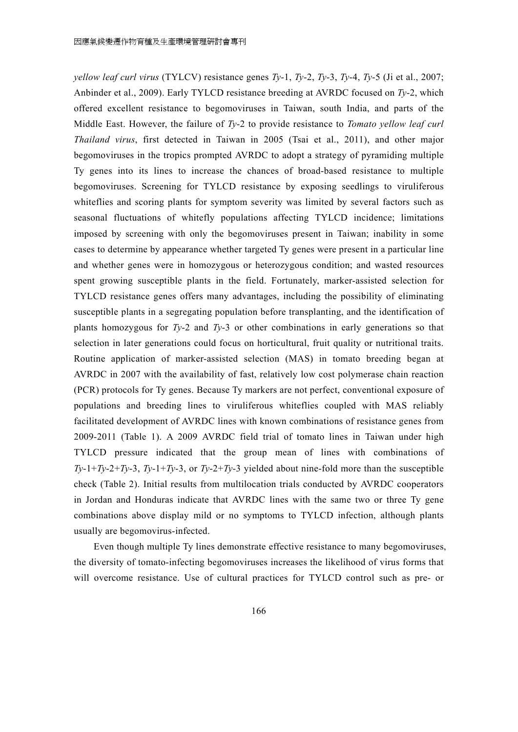*yellow leaf curl virus* (TYLCV) resistance genes *Ty*-1, *Ty*-2, *Ty*-3, *Ty*-4, *Ty*-5 (Ji et al., 2007; Anbinder et al., 2009). Early TYLCD resistance breeding at AVRDC focused on *Ty*-2, which offered excellent resistance to begomoviruses in Taiwan, south India, and parts of the Middle East. However, the failure of *Ty*-2 to provide resistance to *Tomato yellow leaf curl Thailand virus*, first detected in Taiwan in 2005 (Tsai et al., 2011), and other major begomoviruses in the tropics prompted AVRDC to adopt a strategy of pyramiding multiple Ty genes into its lines to increase the chances of broad-based resistance to multiple begomoviruses. Screening for TYLCD resistance by exposing seedlings to viruliferous whiteflies and scoring plants for symptom severity was limited by several factors such as seasonal fluctuations of whitefly populations affecting TYLCD incidence; limitations imposed by screening with only the begomoviruses present in Taiwan; inability in some cases to determine by appearance whether targeted Ty genes were present in a particular line and whether genes were in homozygous or heterozygous condition; and wasted resources spent growing susceptible plants in the field. Fortunately, marker-assisted selection for TYLCD resistance genes offers many advantages, including the possibility of eliminating susceptible plants in a segregating population before transplanting, and the identification of plants homozygous for  $T_y$ -2 and  $T_y$ -3 or other combinations in early generations so that selection in later generations could focus on horticultural, fruit quality or nutritional traits. Routine application of marker-assisted selection (MAS) in tomato breeding began at AVRDC in 2007 with the availability of fast, relatively low cost polymerase chain reaction (PCR) protocols for Ty genes. Because Ty markers are not perfect, conventional exposure of populations and breeding lines to viruliferous whiteflies coupled with MAS reliably facilitated development of AVRDC lines with known combinations of resistance genes from 2009-2011 (Table 1). A 2009 AVRDC field trial of tomato lines in Taiwan under high TYLCD pressure indicated that the group mean of lines with combinations of  $Ty-1+Ty-2+Ty-3$ ,  $Ty-1+Ty-3$ , or  $Ty-2+Ty-3$  yielded about nine-fold more than the susceptible check (Table 2). Initial results from multilocation trials conducted by AVRDC cooperators in Jordan and Honduras indicate that AVRDC lines with the same two or three Ty gene combinations above display mild or no symptoms to TYLCD infection, although plants usually are begomovirus-infected.

Even though multiple Ty lines demonstrate effective resistance to many begomoviruses, the diversity of tomato-infecting begomoviruses increases the likelihood of virus forms that will overcome resistance. Use of cultural practices for TYLCD control such as pre- or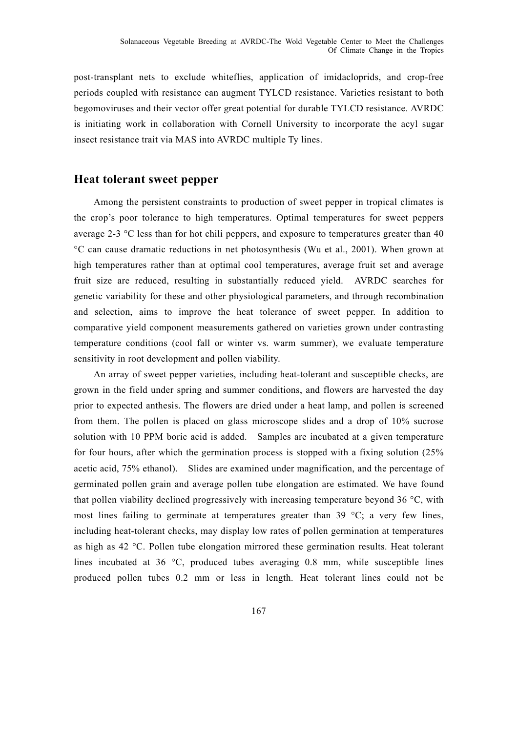post-transplant nets to exclude whiteflies, application of imidacloprids, and crop-free periods coupled with resistance can augment TYLCD resistance. Varieties resistant to both begomoviruses and their vector offer great potential for durable TYLCD resistance. AVRDC is initiating work in collaboration with Cornell University to incorporate the acyl sugar insect resistance trait via MAS into AVRDC multiple Ty lines.

#### **Heat tolerant sweet pepper**

Among the persistent constraints to production of sweet pepper in tropical climates is the crop's poor tolerance to high temperatures. Optimal temperatures for sweet peppers average 2-3 °C less than for hot chili peppers, and exposure to temperatures greater than 40 °C can cause dramatic reductions in net photosynthesis (Wu et al., 2001). When grown at high temperatures rather than at optimal cool temperatures, average fruit set and average fruit size are reduced, resulting in substantially reduced yield. AVRDC searches for genetic variability for these and other physiological parameters, and through recombination and selection, aims to improve the heat tolerance of sweet pepper. In addition to comparative yield component measurements gathered on varieties grown under contrasting temperature conditions (cool fall or winter vs. warm summer), we evaluate temperature sensitivity in root development and pollen viability.

An array of sweet pepper varieties, including heat-tolerant and susceptible checks, are grown in the field under spring and summer conditions, and flowers are harvested the day prior to expected anthesis. The flowers are dried under a heat lamp, and pollen is screened from them. The pollen is placed on glass microscope slides and a drop of 10% sucrose solution with 10 PPM boric acid is added. Samples are incubated at a given temperature for four hours, after which the germination process is stopped with a fixing solution (25% acetic acid, 75% ethanol). Slides are examined under magnification, and the percentage of germinated pollen grain and average pollen tube elongation are estimated. We have found that pollen viability declined progressively with increasing temperature beyond 36 °C, with most lines failing to germinate at temperatures greater than 39 °C; a very few lines, including heat-tolerant checks, may display low rates of pollen germination at temperatures as high as 42 °C. Pollen tube elongation mirrored these germination results. Heat tolerant lines incubated at 36 °C, produced tubes averaging 0.8 mm, while susceptible lines produced pollen tubes 0.2 mm or less in length. Heat tolerant lines could not be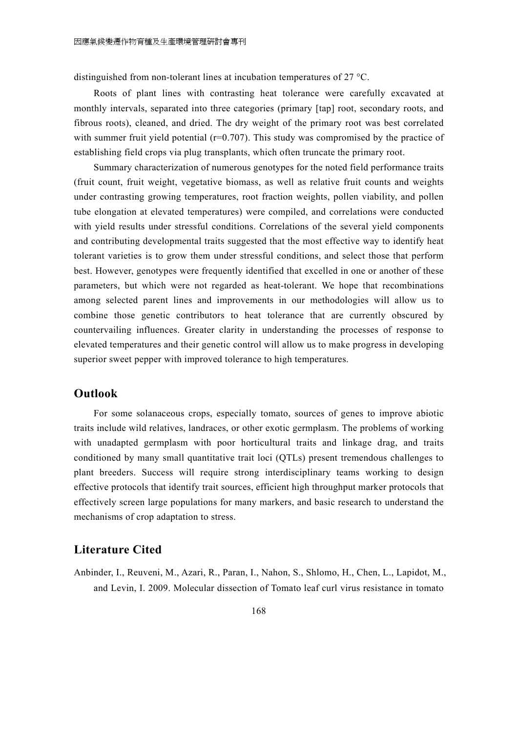distinguished from non-tolerant lines at incubation temperatures of 27 °C.

Roots of plant lines with contrasting heat tolerance were carefully excavated at monthly intervals, separated into three categories (primary [tap] root, secondary roots, and fibrous roots), cleaned, and dried. The dry weight of the primary root was best correlated with summer fruit yield potential  $(r=0.707)$ . This study was compromised by the practice of establishing field crops via plug transplants, which often truncate the primary root.

Summary characterization of numerous genotypes for the noted field performance traits (fruit count, fruit weight, vegetative biomass, as well as relative fruit counts and weights under contrasting growing temperatures, root fraction weights, pollen viability, and pollen tube elongation at elevated temperatures) were compiled, and correlations were conducted with yield results under stressful conditions. Correlations of the several yield components and contributing developmental traits suggested that the most effective way to identify heat tolerant varieties is to grow them under stressful conditions, and select those that perform best. However, genotypes were frequently identified that excelled in one or another of these parameters, but which were not regarded as heat-tolerant. We hope that recombinations among selected parent lines and improvements in our methodologies will allow us to combine those genetic contributors to heat tolerance that are currently obscured by countervailing influences. Greater clarity in understanding the processes of response to elevated temperatures and their genetic control will allow us to make progress in developing superior sweet pepper with improved tolerance to high temperatures.

## **Outlook**

For some solanaceous crops, especially tomato, sources of genes to improve abiotic traits include wild relatives, landraces, or other exotic germplasm. The problems of working with unadapted germplasm with poor horticultural traits and linkage drag, and traits conditioned by many small quantitative trait loci (QTLs) present tremendous challenges to plant breeders. Success will require strong interdisciplinary teams working to design effective protocols that identify trait sources, efficient high throughput marker protocols that effectively screen large populations for many markers, and basic research to understand the mechanisms of crop adaptation to stress.

# **Literature Cited**

Anbinder, I., Reuveni, M., Azari, R., Paran, I., Nahon, S., Shlomo, H., Chen, L., Lapidot, M., and Levin, I. 2009. Molecular dissection of Tomato leaf curl virus resistance in tomato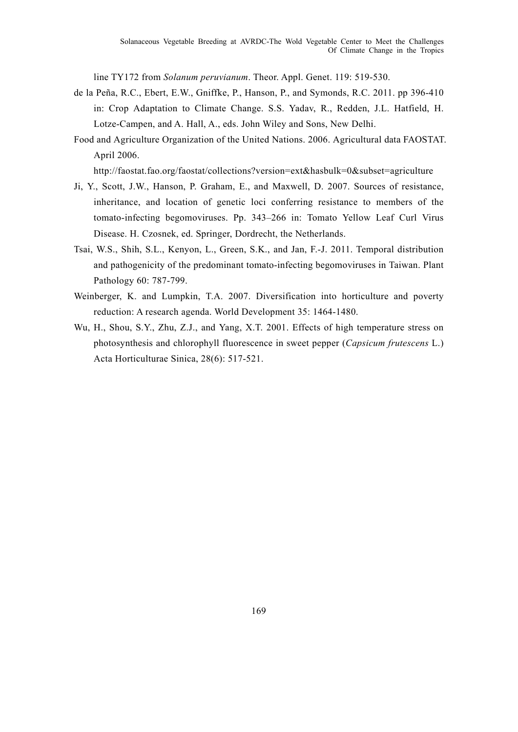line TY172 from *Solanum peruvianum*. Theor. Appl. Genet. 119: 519-530.

- de la Peña, R.C., Ebert, E.W., Gniffke, P., Hanson, P., and Symonds, R.C. 2011. pp 396-410 in: Crop Adaptation to Climate Change. S.S. Yadav, R., Redden, J.L. Hatfield, H. Lotze-Campen, and A. Hall, A., eds. John Wiley and Sons, New Delhi.
- Food and Agriculture Organization of the United Nations. 2006. Agricultural data FAOSTAT. April 2006.

http://faostat.fao.org/faostat/collections?version=ext&hasbulk=0&subset=agriculture

- Ji, Y., Scott, J.W., Hanson, P. Graham, E., and Maxwell, D. 2007. Sources of resistance, inheritance, and location of genetic loci conferring resistance to members of the tomato-infecting begomoviruses. Pp. 343–266 in: Tomato Yellow Leaf Curl Virus Disease. H. Czosnek, ed. Springer, Dordrecht, the Netherlands.
- Tsai, W.S., Shih, S.L., Kenyon, L., Green, S.K., and Jan, F.-J. 2011. Temporal distribution and pathogenicity of the predominant tomato-infecting begomoviruses in Taiwan. Plant Pathology 60: 787-799.
- Weinberger, K. and Lumpkin, T.A. 2007. Diversification into horticulture and poverty reduction: A research agenda. World Development 35: 1464-1480.
- Wu, H., Shou, S.Y., Zhu, Z.J., and Yang, X.T. 2001. Effects of high temperature stress on photosynthesis and chlorophyll fluorescence in sweet pepper (*Capsicum frutescens* L.) Acta Horticulturae Sinica, 28(6): 517-521.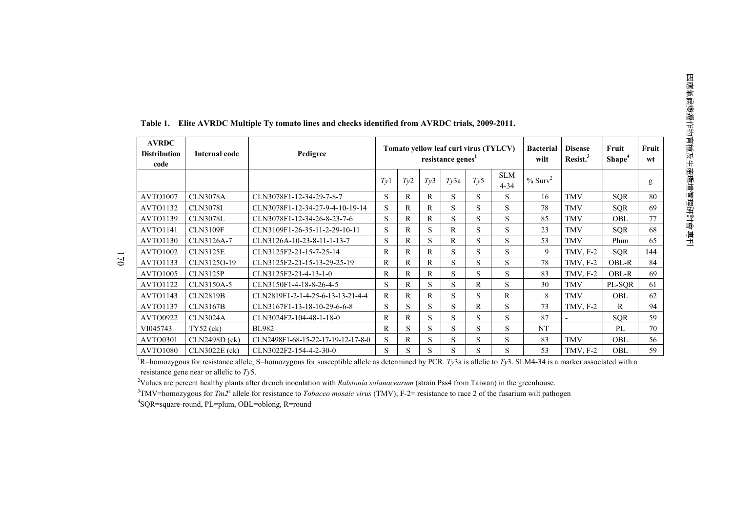| <b>AVRDC</b><br><b>Distribution</b><br>code | Internal code   | Pedigree                           | Tomato yellow leaf curl virus (TYLCV)<br>resistance genes <sup>1</sup> |     |              |      |     | <b>Bacterial</b><br>wilt | <b>Disease</b><br>Resist. <sup>3</sup> | Fruit<br>Shape <sup>4</sup> | Fruit<br>wt  |     |
|---------------------------------------------|-----------------|------------------------------------|------------------------------------------------------------------------|-----|--------------|------|-----|--------------------------|----------------------------------------|-----------------------------|--------------|-----|
|                                             |                 |                                    | Tv1                                                                    | Ty2 | Tv3          | Ty3a | Tv5 | <b>SLM</b><br>$4 - 34$   | $%$ Surv <sup>2</sup>                  |                             |              | g   |
| AVTO1007                                    | <b>CLN3078A</b> | CLN3078F1-12-34-29-7-8-7           | S                                                                      | R   | R            | S.   | S   | S                        | 16                                     | <b>TMV</b>                  | <b>SOR</b>   | 80  |
| <b>AVTO1132</b>                             | <b>CLN3078I</b> | CLN3078F1-12-34-27-9-4-10-19-14    | S                                                                      | R   | $\mathbb{R}$ | S    | S   | S                        | 78                                     | <b>TMV</b>                  | <b>SQR</b>   | 69  |
| <b>AVTO1139</b>                             | <b>CLN3078L</b> | CLN3078F1-12-34-26-8-23-7-6        | S                                                                      | R   | R            | S    | S   | S                        | 85                                     | <b>TMV</b>                  | OBL          | 77  |
| AVTO1141                                    | <b>CLN3109F</b> | CLN3109F1-26-35-11-2-29-10-11      | S                                                                      | R   | S            | R    | S   | S                        | 23                                     | <b>TMV</b>                  | <b>SQR</b>   | 68  |
| <b>AVTO1130</b>                             | CLN3126A-7      | CLN3126A-10-23-8-11-1-13-7         | S                                                                      | R   | S            | R    | S   | S                        | 53                                     | <b>TMV</b>                  | Plum         | 65  |
| <b>AVTO1002</b>                             | <b>CLN3125E</b> | CLN3125F2-21-15-7-25-14            | R                                                                      | R   | R            | S    | S   | S                        | 9                                      | $TMV, F-2$                  | <b>SQR</b>   | 144 |
| <b>AVTO1133</b>                             | CLN3125O-19     | CLN3125F2-21-15-13-29-25-19        | R                                                                      | R   | $\mathsf{R}$ | S    | S   | S                        | 78                                     | $TMV, F-2$                  | <b>OBL-R</b> | 84  |
| <b>AVTO1005</b>                             | <b>CLN3125P</b> | CLN3125F2-21-4-13-1-0              | R                                                                      | R   | R            | S    | S   | S                        | 83                                     | $TMV, F-2$                  | OBL-R        | 69  |
| <b>AVTO1122</b>                             | CLN3150A-5      | CLN3150F1-4-18-8-26-4-5            | S                                                                      | R   | S            | S    | R   | S                        | 30                                     | <b>TMV</b>                  | PL-SOR       | 61  |
| <b>AVTO1143</b>                             | <b>CLN2819B</b> | CLN2819F1-2-1-4-25-6-13-13-21-4-4  | R                                                                      | R   | R            | S    | S   | $\mathsf{R}$             | 8                                      | <b>TMV</b>                  | OBL          | 62  |
| <b>AVTO1137</b>                             | <b>CLN3167B</b> | CLN3167F1-13-18-10-29-6-6-8        | S                                                                      | S   | S            | S    | R   | S                        | 73                                     | $TMV, F-2$                  | $\mathbf{R}$ | 94  |
| <b>AVTO0922</b>                             | <b>CLN3024A</b> | CLN3024F2-104-48-1-18-0            | R                                                                      | R   | S            | S    | S   | S                        | 87                                     | $\overline{a}$              | <b>SQR</b>   | 59  |
| VI045743                                    | $TY52$ (ck)     | <b>BL982</b>                       | R                                                                      | S   | S            | S.   | S   | S                        | <b>NT</b>                              |                             | PL           | 70  |
| <b>AVTO0301</b>                             | CLN2498D (ck)   | CLN2498F1-68-15-22-17-19-12-17-8-0 | S                                                                      | R   | S            | S    | S   | S                        | 83                                     | <b>TMV</b>                  | <b>OBL</b>   | 56  |
| <b>AVTO1080</b>                             | CLN3022E (ck)   | CLN3022F2-154-4-2-30-0             | S                                                                      | S   | S            | S    | S   | S                        | 53                                     | $TMV, F-2$                  | OBL          | 59  |

**Table 1. Elite AVRDC Multiple Ty tomato lines and checks identified from AVRDC trials, 2009-2011.** 

<sup>1</sup>R=homozygous for resistance allele, S=homozygous for susceptible allele as determined by PCR. *Ty*3a is allelic to *Ty*3. SLM4-34 is a marker associated with a AVTO1080 CLN3022E (ck) CLN3022F2-154-4-2-30-0 S S S S S S 53 TMV, F-2 OBL 59 resistance gene near or allelic to *Ty*5.

<sup>2</sup>Values are percent healthy plants after drench inoculation with *Ralstonia solanacearum* (strain Pss4 from Taiwan) in the greenhouse.

<sup>3</sup>TMV=homozygous for *Tm2*<sup>a</sup> allele for resistance to *Tobacco mosaic virus* (TMV); F-2= resistance to race 2 of the fusarium wilt pathogen

<sup>4</sup>SQR=square-round, PL=plum, OBL=oblong, R=round